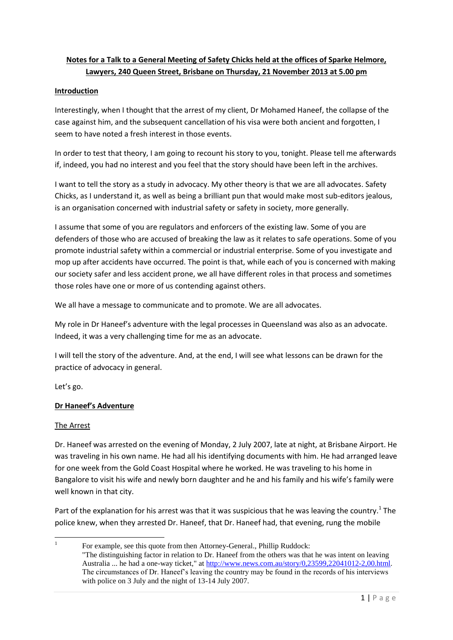# **Notes for a Talk to a General Meeting of Safety Chicks held at the offices of Sparke Helmore, Lawyers, 240 Queen Street, Brisbane on Thursday, 21 November 2013 at 5.00 pm**

### **Introduction**

Interestingly, when I thought that the arrest of my client, Dr Mohamed Haneef, the collapse of the case against him, and the subsequent cancellation of his visa were both ancient and forgotten, I seem to have noted a fresh interest in those events.

In order to test that theory, I am going to recount his story to you, tonight. Please tell me afterwards if, indeed, you had no interest and you feel that the story should have been left in the archives.

I want to tell the story as a study in advocacy. My other theory is that we are all advocates. Safety Chicks, as I understand it, as well as being a brilliant pun that would make most sub-editors jealous, is an organisation concerned with industrial safety or safety in society, more generally.

I assume that some of you are regulators and enforcers of the existing law. Some of you are defenders of those who are accused of breaking the law as it relates to safe operations. Some of you promote industrial safety within a commercial or industrial enterprise. Some of you investigate and mop up after accidents have occurred. The point is that, while each of you is concerned with making our society safer and less accident prone, we all have different roles in that process and sometimes those roles have one or more of us contending against others.

We all have a message to communicate and to promote. We are all advocates.

My role in Dr Haneef's adventure with the legal processes in Queensland was also as an advocate. Indeed, it was a very challenging time for me as an advocate.

I will tell the story of the adventure. And, at the end, I will see what lessons can be drawn for the practice of advocacy in general.

Let's go.

### **Dr Haneef's Adventure**

### The Arrest

Dr. Haneef was arrested on the evening of Monday, 2 July 2007, late at night, at Brisbane Airport. He was traveling in his own name. He had all his identifying documents with him. He had arranged leave for one week from the Gold Coast Hospital where he worked. He was traveling to his home in Bangalore to visit his wife and newly born daughter and he and his family and his wife's family were well known in that city.

Part of the explanation for his arrest was that it was suspicious that he was leaving the country.<sup>1</sup> The police knew, when they arrested Dr. Haneef, that Dr. Haneef had, that evening, rung the mobile

 $\frac{1}{1}$ For example, see this quote from then Attorney-General., Phillip Ruddock: "The distinguishing factor in relation to Dr. Haneef from the others was that he was intent on leaving Australia ... he had a one-way ticket," at [http://www.news.com.au/story/0,23599,22041012-2,00.html.](http://www.news.com.au/story/0,23599,22041012-2,00.html)  The circumstances of Dr. Haneef's leaving the country may be found in the records of his interviews with police on 3 July and the night of 13-14 July 2007.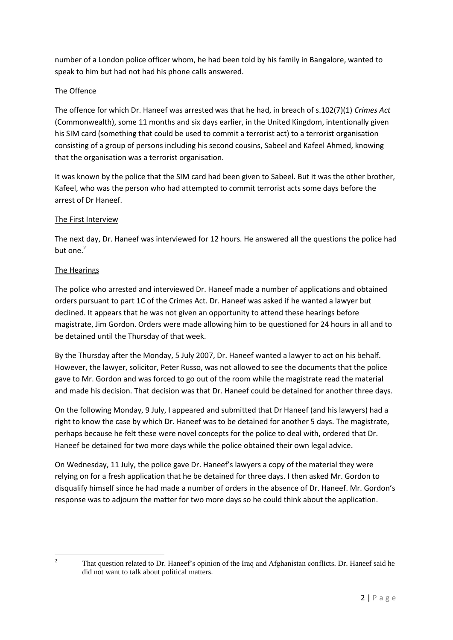number of a London police officer whom, he had been told by his family in Bangalore, wanted to speak to him but had not had his phone calls answered.

# The Offence

The offence for which Dr. Haneef was arrested was that he had, in breach of s.102(7)(1) *Crimes Act* (Commonwealth), some 11 months and six days earlier, in the United Kingdom, intentionally given his SIM card (something that could be used to commit a terrorist act) to a terrorist organisation consisting of a group of persons including his second cousins, Sabeel and Kafeel Ahmed, knowing that the organisation was a terrorist organisation.

It was known by the police that the SIM card had been given to Sabeel. But it was the other brother, Kafeel, who was the person who had attempted to commit terrorist acts some days before the arrest of Dr Haneef.

### The First Interview

The next day, Dr. Haneef was interviewed for 12 hours. He answered all the questions the police had but one. $<sup>2</sup>$ </sup>

### The Hearings

The police who arrested and interviewed Dr. Haneef made a number of applications and obtained orders pursuant to part 1C of the Crimes Act. Dr. Haneef was asked if he wanted a lawyer but declined. It appears that he was not given an opportunity to attend these hearings before magistrate, Jim Gordon. Orders were made allowing him to be questioned for 24 hours in all and to be detained until the Thursday of that week.

By the Thursday after the Monday, 5 July 2007, Dr. Haneef wanted a lawyer to act on his behalf. However, the lawyer, solicitor, Peter Russo, was not allowed to see the documents that the police gave to Mr. Gordon and was forced to go out of the room while the magistrate read the material and made his decision. That decision was that Dr. Haneef could be detained for another three days.

On the following Monday, 9 July, I appeared and submitted that Dr Haneef (and his lawyers) had a right to know the case by which Dr. Haneef was to be detained for another 5 days. The magistrate, perhaps because he felt these were novel concepts for the police to deal with, ordered that Dr. Haneef be detained for two more days while the police obtained their own legal advice.

On Wednesday, 11 July, the police gave Dr. Haneef's lawyers a copy of the material they were relying on for a fresh application that he be detained for three days. I then asked Mr. Gordon to disqualify himself since he had made a number of orders in the absence of Dr. Haneef. Mr. Gordon's response was to adjourn the matter for two more days so he could think about the application.

 $\overline{2}$ 

<sup>2</sup> That question related to Dr. Haneef's opinion of the Iraq and Afghanistan conflicts. Dr. Haneef said he did not want to talk about political matters.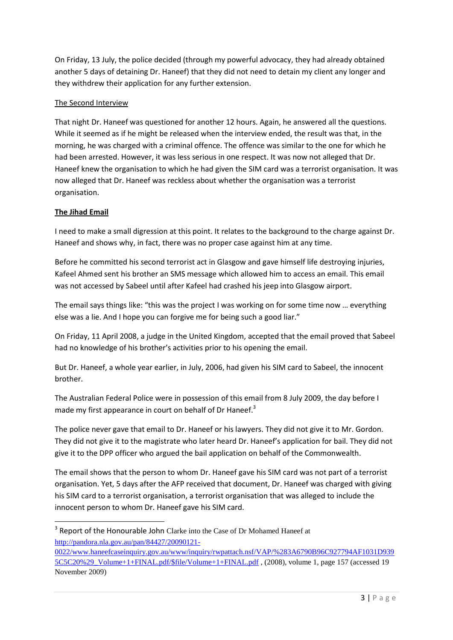On Friday, 13 July, the police decided (through my powerful advocacy, they had already obtained another 5 days of detaining Dr. Haneef) that they did not need to detain my client any longer and they withdrew their application for any further extension.

## The Second Interview

That night Dr. Haneef was questioned for another 12 hours. Again, he answered all the questions. While it seemed as if he might be released when the interview ended, the result was that, in the morning, he was charged with a criminal offence. The offence was similar to the one for which he had been arrested. However, it was less serious in one respect. It was now not alleged that Dr. Haneef knew the organisation to which he had given the SIM card was a terrorist organisation. It was now alleged that Dr. Haneef was reckless about whether the organisation was a terrorist organisation.

## **The Jihad Email**

1

I need to make a small digression at this point. It relates to the background to the charge against Dr. Haneef and shows why, in fact, there was no proper case against him at any time.

Before he committed his second terrorist act in Glasgow and gave himself life destroying injuries, Kafeel Ahmed sent his brother an SMS message which allowed him to access an email. This email was not accessed by Sabeel until after Kafeel had crashed his jeep into Glasgow airport.

The email says things like: "this was the project I was working on for some time now … everything else was a lie. And I hope you can forgive me for being such a good liar."

On Friday, 11 April 2008, a judge in the United Kingdom, accepted that the email proved that Sabeel had no knowledge of his brother's activities prior to his opening the email.

But Dr. Haneef, a whole year earlier, in July, 2006, had given his SIM card to Sabeel, the innocent brother.

The Australian Federal Police were in possession of this email from 8 July 2009, the day before I made my first appearance in court on behalf of Dr Haneef. $3$ 

The police never gave that email to Dr. Haneef or his lawyers. They did not give it to Mr. Gordon. They did not give it to the magistrate who later heard Dr. Haneef's application for bail. They did not give it to the DPP officer who argued the bail application on behalf of the Commonwealth.

The email shows that the person to whom Dr. Haneef gave his SIM card was not part of a terrorist organisation. Yet, 5 days after the AFP received that document, Dr. Haneef was charged with giving his SIM card to a terrorist organisation, a terrorist organisation that was alleged to include the innocent person to whom Dr. Haneef gave his SIM card.

<sup>&</sup>lt;sup>3</sup> Report of the Honourable John Clarke into the Case of Dr Mohamed Haneef at [http://pandora.nla.gov.au/pan/84427/20090121-](http://pandora.nla.gov.au/pan/84427/20090121-0022/www.haneefcaseinquiry.gov.au/www/inquiry/rwpattach.nsf/VAP/%283A6790B96C927794AF1031D9395C5C20%29_Volume+1+FINAL.pdf/$file/Volume+1+FINAL.pdf)

[<sup>0022/</sup>www.haneefcaseinquiry.gov.au/www/inquiry/rwpattach.nsf/VAP/%283A6790B96C927794AF1031D939](http://pandora.nla.gov.au/pan/84427/20090121-0022/www.haneefcaseinquiry.gov.au/www/inquiry/rwpattach.nsf/VAP/%283A6790B96C927794AF1031D9395C5C20%29_Volume+1+FINAL.pdf/$file/Volume+1+FINAL.pdf) [5C5C20%29\\_Volume+1+FINAL.pdf/\\$file/Volume+1+FINAL.pdf](http://pandora.nla.gov.au/pan/84427/20090121-0022/www.haneefcaseinquiry.gov.au/www/inquiry/rwpattach.nsf/VAP/%283A6790B96C927794AF1031D9395C5C20%29_Volume+1+FINAL.pdf/$file/Volume+1+FINAL.pdf) , (2008), volume 1, page 157 (accessed 19 November 2009)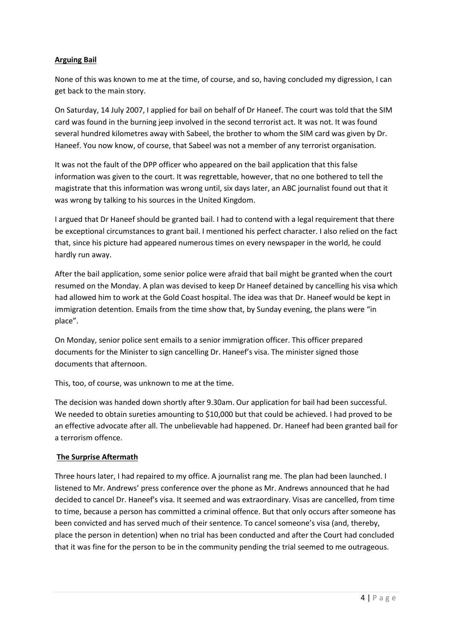## **Arguing Bail**

None of this was known to me at the time, of course, and so, having concluded my digression, I can get back to the main story.

On Saturday, 14 July 2007, I applied for bail on behalf of Dr Haneef. The court was told that the SIM card was found in the burning jeep involved in the second terrorist act. It was not. It was found several hundred kilometres away with Sabeel, the brother to whom the SIM card was given by Dr. Haneef. You now know, of course, that Sabeel was not a member of any terrorist organisation.

It was not the fault of the DPP officer who appeared on the bail application that this false information was given to the court. It was regrettable, however, that no one bothered to tell the magistrate that this information was wrong until, six days later, an ABC journalist found out that it was wrong by talking to his sources in the United Kingdom.

I argued that Dr Haneef should be granted bail. I had to contend with a legal requirement that there be exceptional circumstances to grant bail. I mentioned his perfect character. I also relied on the fact that, since his picture had appeared numerous times on every newspaper in the world, he could hardly run away.

After the bail application, some senior police were afraid that bail might be granted when the court resumed on the Monday. A plan was devised to keep Dr Haneef detained by cancelling his visa which had allowed him to work at the Gold Coast hospital. The idea was that Dr. Haneef would be kept in immigration detention. Emails from the time show that, by Sunday evening, the plans were "in place".

On Monday, senior police sent emails to a senior immigration officer. This officer prepared documents for the Minister to sign cancelling Dr. Haneef's visa. The minister signed those documents that afternoon.

This, too, of course, was unknown to me at the time.

The decision was handed down shortly after 9.30am. Our application for bail had been successful. We needed to obtain sureties amounting to \$10,000 but that could be achieved. I had proved to be an effective advocate after all. The unbelievable had happened. Dr. Haneef had been granted bail for a terrorism offence.

### **The Surprise Aftermath**

Three hours later, I had repaired to my office. A journalist rang me. The plan had been launched. I listened to Mr. Andrews' press conference over the phone as Mr. Andrews announced that he had decided to cancel Dr. Haneef's visa. It seemed and was extraordinary. Visas are cancelled, from time to time, because a person has committed a criminal offence. But that only occurs after someone has been convicted and has served much of their sentence. To cancel someone's visa (and, thereby, place the person in detention) when no trial has been conducted and after the Court had concluded that it was fine for the person to be in the community pending the trial seemed to me outrageous.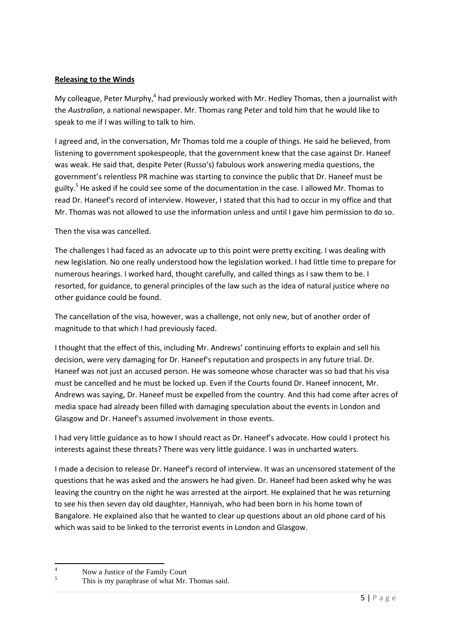### **Releasing to the Winds**

My colleague, Peter Murphy,<sup>4</sup> had previously worked with Mr. Hedley Thomas, then a journalist with the *Australian*, a national newspaper. Mr. Thomas rang Peter and told him that he would like to speak to me if I was willing to talk to him.

I agreed and, in the conversation, Mr Thomas told me a couple of things. He said he believed, from listening to government spokespeople, that the government knew that the case against Dr. Haneef was weak. He said that, despite Peter (Russo's) fabulous work answering media questions, the government's relentless PR machine was starting to convince the public that Dr. Haneef must be guilty.<sup>5</sup> He asked if he could see some of the documentation in the case. I allowed Mr. Thomas to read Dr. Haneef's record of interview. However, I stated that this had to occur in my office and that Mr. Thomas was not allowed to use the information unless and until I gave him permission to do so.

Then the visa was cancelled.

The challenges I had faced as an advocate up to this point were pretty exciting. I was dealing with new legislation. No one really understood how the legislation worked. I had little time to prepare for numerous hearings. I worked hard, thought carefully, and called things as I saw them to be. I resorted, for guidance, to general principles of the law such as the idea of natural justice where no other guidance could be found.

The cancellation of the visa, however, was a challenge, not only new, but of another order of magnitude to that which I had previously faced.

I thought that the effect of this, including Mr. Andrews' continuing efforts to explain and sell his decision, were very damaging for Dr. Haneef's reputation and prospects in any future trial. Dr. Haneef was not just an accused person. He was someone whose character was so bad that his visa must be cancelled and he must be locked up. Even if the Courts found Dr. Haneef innocent, Mr. Andrews was saying, Dr. Haneef must be expelled from the country. And this had come after acres of media space had already been filled with damaging speculation about the events in London and Glasgow and Dr. Haneef's assumed involvement in those events.

I had very little guidance as to how I should react as Dr. Haneef's advocate. How could I protect his interests against these threats? There was very little guidance. I was in uncharted waters.

I made a decision to release Dr. Haneef's record of interview. It was an uncensored statement of the questions that he was asked and the answers he had given. Dr. Haneef had been asked why he was leaving the country on the night he was arrested at the airport. He explained that he was returning to see his then seven day old daughter, Hanniyah, who had been born in his home town of Bangalore. He explained also that he wanted to clear up questions about an old phone card of his which was said to be linked to the terrorist events in London and Glasgow.

 $\overline{4}$  $\frac{4}{5}$  Now a Justice of the Family Court<br>This is my paraphrase of what Mr.

This is my paraphrase of what Mr. Thomas said.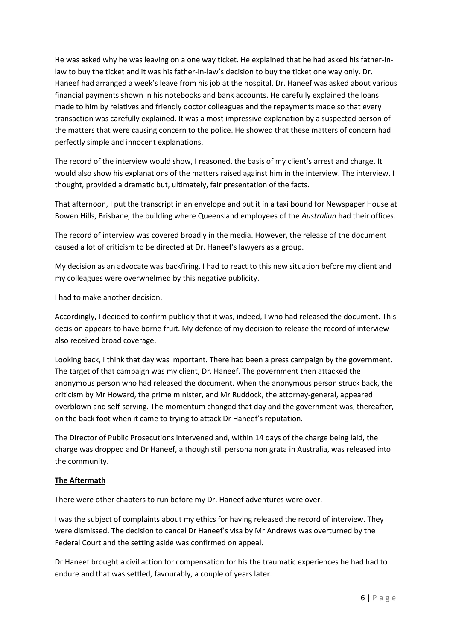He was asked why he was leaving on a one way ticket. He explained that he had asked his father-inlaw to buy the ticket and it was his father-in-law's decision to buy the ticket one way only. Dr. Haneef had arranged a week's leave from his job at the hospital. Dr. Haneef was asked about various financial payments shown in his notebooks and bank accounts. He carefully explained the loans made to him by relatives and friendly doctor colleagues and the repayments made so that every transaction was carefully explained. It was a most impressive explanation by a suspected person of the matters that were causing concern to the police. He showed that these matters of concern had perfectly simple and innocent explanations.

The record of the interview would show, I reasoned, the basis of my client's arrest and charge. It would also show his explanations of the matters raised against him in the interview. The interview, I thought, provided a dramatic but, ultimately, fair presentation of the facts.

That afternoon, I put the transcript in an envelope and put it in a taxi bound for Newspaper House at Bowen Hills, Brisbane, the building where Queensland employees of the *Australian* had their offices.

The record of interview was covered broadly in the media. However, the release of the document caused a lot of criticism to be directed at Dr. Haneef's lawyers as a group.

My decision as an advocate was backfiring. I had to react to this new situation before my client and my colleagues were overwhelmed by this negative publicity.

I had to make another decision.

Accordingly, I decided to confirm publicly that it was, indeed, I who had released the document. This decision appears to have borne fruit. My defence of my decision to release the record of interview also received broad coverage.

Looking back, I think that day was important. There had been a press campaign by the government. The target of that campaign was my client, Dr. Haneef. The government then attacked the anonymous person who had released the document. When the anonymous person struck back, the criticism by Mr Howard, the prime minister, and Mr Ruddock, the attorney-general, appeared overblown and self-serving. The momentum changed that day and the government was, thereafter, on the back foot when it came to trying to attack Dr Haneef's reputation.

The Director of Public Prosecutions intervened and, within 14 days of the charge being laid, the charge was dropped and Dr Haneef, although still persona non grata in Australia, was released into the community.

### **The Aftermath**

There were other chapters to run before my Dr. Haneef adventures were over.

I was the subject of complaints about my ethics for having released the record of interview. They were dismissed. The decision to cancel Dr Haneef's visa by Mr Andrews was overturned by the Federal Court and the setting aside was confirmed on appeal.

Dr Haneef brought a civil action for compensation for his the traumatic experiences he had had to endure and that was settled, favourably, a couple of years later.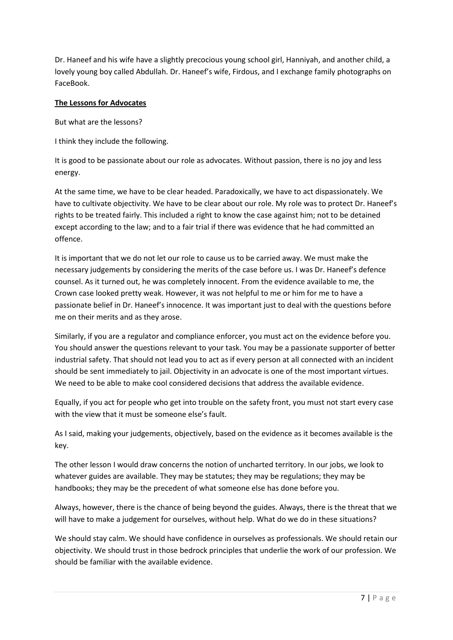Dr. Haneef and his wife have a slightly precocious young school girl, Hanniyah, and another child, a lovely young boy called Abdullah. Dr. Haneef's wife, Firdous, and I exchange family photographs on FaceBook.

### **The Lessons for Advocates**

But what are the lessons?

I think they include the following.

It is good to be passionate about our role as advocates. Without passion, there is no joy and less energy.

At the same time, we have to be clear headed. Paradoxically, we have to act dispassionately. We have to cultivate objectivity. We have to be clear about our role. My role was to protect Dr. Haneef's rights to be treated fairly. This included a right to know the case against him; not to be detained except according to the law; and to a fair trial if there was evidence that he had committed an offence.

It is important that we do not let our role to cause us to be carried away. We must make the necessary judgements by considering the merits of the case before us. I was Dr. Haneef's defence counsel. As it turned out, he was completely innocent. From the evidence available to me, the Crown case looked pretty weak. However, it was not helpful to me or him for me to have a passionate belief in Dr. Haneef's innocence. It was important just to deal with the questions before me on their merits and as they arose.

Similarly, if you are a regulator and compliance enforcer, you must act on the evidence before you. You should answer the questions relevant to your task. You may be a passionate supporter of better industrial safety. That should not lead you to act as if every person at all connected with an incident should be sent immediately to jail. Objectivity in an advocate is one of the most important virtues. We need to be able to make cool considered decisions that address the available evidence.

Equally, if you act for people who get into trouble on the safety front, you must not start every case with the view that it must be someone else's fault.

As I said, making your judgements, objectively, based on the evidence as it becomes available is the key.

The other lesson I would draw concerns the notion of uncharted territory. In our jobs, we look to whatever guides are available. They may be statutes; they may be regulations; they may be handbooks; they may be the precedent of what someone else has done before you.

Always, however, there is the chance of being beyond the guides. Always, there is the threat that we will have to make a judgement for ourselves, without help. What do we do in these situations?

We should stay calm. We should have confidence in ourselves as professionals. We should retain our objectivity. We should trust in those bedrock principles that underlie the work of our profession. We should be familiar with the available evidence.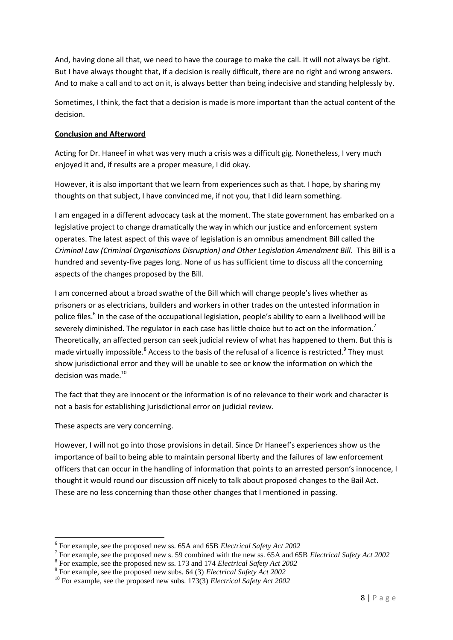And, having done all that, we need to have the courage to make the call. It will not always be right. But I have always thought that, if a decision is really difficult, there are no right and wrong answers. And to make a call and to act on it, is always better than being indecisive and standing helplessly by.

Sometimes, I think, the fact that a decision is made is more important than the actual content of the decision.

### **Conclusion and Afterword**

Acting for Dr. Haneef in what was very much a crisis was a difficult gig. Nonetheless, I very much enjoyed it and, if results are a proper measure, I did okay.

However, it is also important that we learn from experiences such as that. I hope, by sharing my thoughts on that subject, I have convinced me, if not you, that I did learn something.

I am engaged in a different advocacy task at the moment. The state government has embarked on a legislative project to change dramatically the way in which our justice and enforcement system operates. The latest aspect of this wave of legislation is an omnibus amendment Bill called the *Criminal Law (Criminal Organisations Disruption) and Other Legislation Amendment Bill*. This Bill is a hundred and seventy-five pages long. None of us has sufficient time to discuss all the concerning aspects of the changes proposed by the Bill.

I am concerned about a broad swathe of the Bill which will change people's lives whether as prisoners or as electricians, builders and workers in other trades on the untested information in police files.<sup>6</sup> In the case of the occupational legislation, people's ability to earn a livelihood will be severely diminished. The regulator in each case has little choice but to act on the information.<sup>7</sup> Theoretically, an affected person can seek judicial review of what has happened to them. But this is made virtually impossible.<sup>8</sup> Access to the basis of the refusal of a licence is restricted.<sup>9</sup> They must show jurisdictional error and they will be unable to see or know the information on which the decision was made.<sup>10</sup>

The fact that they are innocent or the information is of no relevance to their work and character is not a basis for establishing jurisdictional error on judicial review.

These aspects are very concerning.

**.** 

However, I will not go into those provisions in detail. Since Dr Haneef's experiences show us the importance of bail to being able to maintain personal liberty and the failures of law enforcement officers that can occur in the handling of information that points to an arrested person's innocence, I thought it would round our discussion off nicely to talk about proposed changes to the Bail Act. These are no less concerning than those other changes that I mentioned in passing.

<sup>6</sup> For example, see the proposed new ss. 65A and 65B *Electrical Safety Act 2002*

<sup>7</sup> For example, see the proposed new s. 59 combined with the new ss. 65A and 65B *Electrical Safety Act 2002*

<sup>8</sup> For example, see the proposed new ss. 173 and 174 *Electrical Safety Act 2002*

<sup>9</sup> For example, see the proposed new subs. 64 (3) *Electrical Safety Act 2002*

<sup>10</sup> For example, see the proposed new subs. 173(3) *Electrical Safety Act 2002*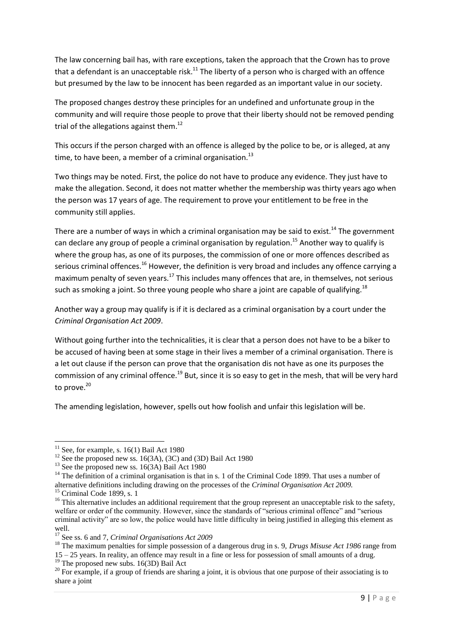The law concerning bail has, with rare exceptions, taken the approach that the Crown has to prove that a defendant is an unacceptable risk.<sup>11</sup> The liberty of a person who is charged with an offence but presumed by the law to be innocent has been regarded as an important value in our society.

The proposed changes destroy these principles for an undefined and unfortunate group in the community and will require those people to prove that their liberty should not be removed pending trial of the allegations against them.<sup>12</sup>

This occurs if the person charged with an offence is alleged by the police to be, or is alleged, at any time, to have been, a member of a criminal organisation.<sup>13</sup>

Two things may be noted. First, the police do not have to produce any evidence. They just have to make the allegation. Second, it does not matter whether the membership was thirty years ago when the person was 17 years of age. The requirement to prove your entitlement to be free in the community still applies.

There are a number of ways in which a criminal organisation may be said to exist.<sup>14</sup> The government can declare any group of people a criminal organisation by regulation.<sup>15</sup> Another way to qualify is where the group has, as one of its purposes, the commission of one or more offences described as serious criminal offences.<sup>16</sup> However, the definition is very broad and includes any offence carrying a maximum penalty of seven years.<sup>17</sup> This includes many offences that are, in themselves, not serious such as smoking a joint. So three young people who share a joint are capable of qualifying.<sup>18</sup>

Another way a group may qualify is if it is declared as a criminal organisation by a court under the *Criminal Organisation Act 2009*.

Without going further into the technicalities, it is clear that a person does not have to be a biker to be accused of having been at some stage in their lives a member of a criminal organisation. There is a let out clause if the person can prove that the organisation dis not have as one its purposes the commission of any criminal offence.<sup>19</sup> But, since it is so easy to get in the mesh, that will be very hard to prove. $20$ 

The amending legislation, however, spells out how foolish and unfair this legislation will be.

**.** 

 $11$  See, for example, s. 16(1) Bail Act 1980

<sup>&</sup>lt;sup>12</sup> See the proposed new ss. 16(3A), (3C) and (3D) Bail Act 1980

 $13$  See the proposed new ss. 16(3A) Bail Act 1980

<sup>&</sup>lt;sup>14</sup> The definition of a criminal organisation is that in s. 1 of the Criminal Code 1899. That uses a number of alternative definitions including drawing on the processes of the *Criminal Organisation Act 2009.*

 $15$  Criminal Code 1899, s. 1

 $16$  This alternative includes an additional requirement that the group represent an unacceptable risk to the safety, welfare or order of the community. However, since the standards of "serious criminal offence" and "serious criminal activity" are so low, the police would have little difficulty in being justified in alleging this element as well.

<sup>17</sup> See ss. 6 and 7, *Criminal Organisations Act 2009*

<sup>&</sup>lt;sup>18</sup> The maximum penalties for simple possession of a dangerous drug in s. 9, *Drugs Misuse Act 1986* range from 15 – 25 years. In reality, an offence may result in a fine or less for possession of small amounts of a drug.

<sup>&</sup>lt;sup>19</sup> The proposed new subs. 16(3D) Bail Act

<sup>&</sup>lt;sup>20</sup> For example, if a group of friends are sharing a joint, it is obvious that one purpose of their associating is to share a joint